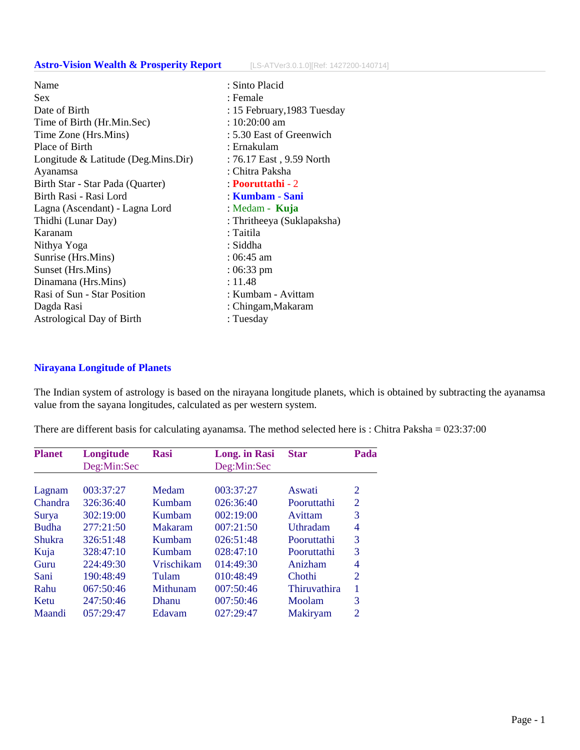# **Astro-Vision Wealth & Prosperity Report** [LS-ATVer3.0.1.0][Ref: 1427200-140714]

| Name                                | : Sinto Placid              |
|-------------------------------------|-----------------------------|
| Sex                                 | : Female                    |
| Date of Birth                       | : 15 February, 1983 Tuesday |
| Time of Birth (Hr.Min.Sec)          | $: 10:20:00$ am             |
| Time Zone (Hrs.Mins)                | : 5.30 East of Greenwich    |
| Place of Birth                      | : Ernakulam                 |
| Longitude & Latitude (Deg.Mins.Dir) | : 76.17 East, 9.59 North    |
| Ayanamsa                            | : Chitra Paksha             |
| Birth Star - Star Pada (Quarter)    | : <b>Pooruttathi</b> - 2    |
| Birth Rasi - Rasi Lord              | : Kumbam - Sani             |
| Lagna (Ascendant) - Lagna Lord      | : Medam - Kuja              |
| Thidhi (Lunar Day)                  | : Thritheeya (Suklapaksha)  |
| Karanam                             | : Taitila                   |
| Nithya Yoga                         | : Siddha                    |
| Sunrise (Hrs.Mins)                  | : 06:45 am                  |
| Sunset (Hrs.Mins)                   | $:06:33$ pm                 |
| Dinamana (Hrs.Mins)                 | : 11.48                     |
| Rasi of Sun - Star Position         | : Kumbam - Avittam          |
| Dagda Rasi                          | : Chingam, Makaram          |
| <b>Astrological Day of Birth</b>    | : Tuesday                   |
|                                     |                             |

#### **Nirayana Longitude of Planets**

The Indian system of astrology is based on the nirayana longitude planets, which is obtained by subtracting the ayanamsa value from the sayana longitudes, calculated as per western system.

| There are different basis for calculating ayanamsa. The method selected here is: Chitra Paksha = $023:37:00$ |  |  |  |  |  |  |  |  |  |  |  |  |  |  |  |
|--------------------------------------------------------------------------------------------------------------|--|--|--|--|--|--|--|--|--|--|--|--|--|--|--|
|--------------------------------------------------------------------------------------------------------------|--|--|--|--|--|--|--|--|--|--|--|--|--|--|--|

| <b>Planet</b> | Longitude   | <b>Rasi</b>    | Long. in Rasi | <b>Star</b>         | Pada           |
|---------------|-------------|----------------|---------------|---------------------|----------------|
|               | Deg:Min:Sec |                | Deg:Min:Sec   |                     |                |
|               |             |                |               |                     |                |
| Lagnam        | 003:37:27   | Medam          | 003:37:27     | Aswati              | 2              |
| Chandra       | 326:36:40   | Kumbam         | 026:36:40     | Pooruttathi         | $\overline{2}$ |
| Surya         | 302:19:00   | Kumbam         | 002:19:00     | Avittam             | 3              |
| <b>Budha</b>  | 277:21:50   | <b>Makaram</b> | 007:21:50     | <b>Uthradam</b>     | 4              |
| <b>Shukra</b> | 326:51:48   | Kumbam         | 026:51:48     | Pooruttathi         | 3              |
| Kuja          | 328:47:10   | Kumbam         | 028:47:10     | Pooruttathi         | 3              |
| Guru          | 224:49:30   | Vrischikam     | 014:49:30     | Anizham             | 4              |
| Sani          | 190:48:49   | Tulam          | 010:48:49     | Chothi              | $\overline{2}$ |
| Rahu          | 067:50:46   | Mithunam       | 007:50:46     | <b>Thiruvathira</b> | 1              |
| Ketu          | 247:50:46   | Dhanu          | 007:50:46     | Moolam              | 3              |
| Maandi        | 057:29:47   | Edavam         | 027:29:47     | Makiryam            | $\overline{2}$ |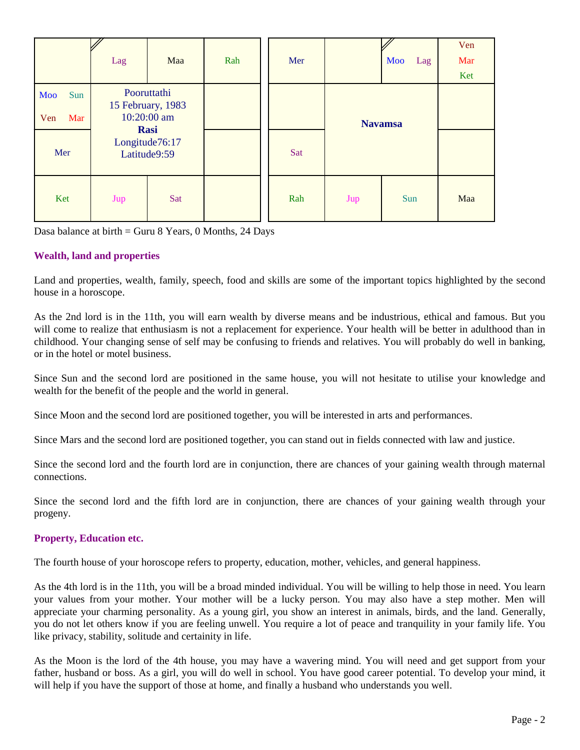|                          | Lag | Maa                                             | Rah | Mer |                | Moo<br>Lag | Ven<br>Mar |
|--------------------------|-----|-------------------------------------------------|-----|-----|----------------|------------|------------|
|                          |     |                                                 |     |     |                |            | Ket        |
| Sun<br>Moo<br>Mar<br>Ven |     | Pooruttathi<br>15 February, 1983<br>10:20:00 am |     |     | <b>Navamsa</b> |            |            |
| Mer                      |     | Rasi<br>Longitude76:17<br>Latitude9:59          |     | Sat |                |            |            |
| Ket                      | Jup | Sat                                             |     | Rah | Jup            | Sun        | Maa        |

Dasa balance at birth  $=$  Guru 8 Years, 0 Months, 24 Days

## **Wealth, land and properties**

Land and properties, wealth, family, speech, food and skills are some of the important topics highlighted by the second house in a horoscope.

As the 2nd lord is in the 11th, you will earn wealth by diverse means and be industrious, ethical and famous. But you will come to realize that enthusiasm is not a replacement for experience. Your health will be better in adulthood than in childhood. Your changing sense of self may be confusing to friends and relatives. You will probably do well in banking, or in the hotel or motel business.

Since Sun and the second lord are positioned in the same house, you will not hesitate to utilise your knowledge and wealth for the benefit of the people and the world in general.

Since Moon and the second lord are positioned together, you will be interested in arts and performances.

Since Mars and the second lord are positioned together, you can stand out in fields connected with law and justice.

Since the second lord and the fourth lord are in conjunction, there are chances of your gaining wealth through maternal connections.

Since the second lord and the fifth lord are in conjunction, there are chances of your gaining wealth through your progeny.

## **Property, Education etc.**

The fourth house of your horoscope refers to property, education, mother, vehicles, and general happiness.

As the 4th lord is in the 11th, you will be a broad minded individual. You will be willing to help those in need. You learn your values from your mother. Your mother will be a lucky person. You may also have a step mother. Men will appreciate your charming personality. As a young girl, you show an interest in animals, birds, and the land. Generally, you do not let others know if you are feeling unwell. You require a lot of peace and tranquility in your family life. You like privacy, stability, solitude and certainity in life.

As the Moon is the lord of the 4th house, you may have a wavering mind. You will need and get support from your father, husband or boss. As a girl, you will do well in school. You have good career potential. To develop your mind, it will help if you have the support of those at home, and finally a husband who understands you well.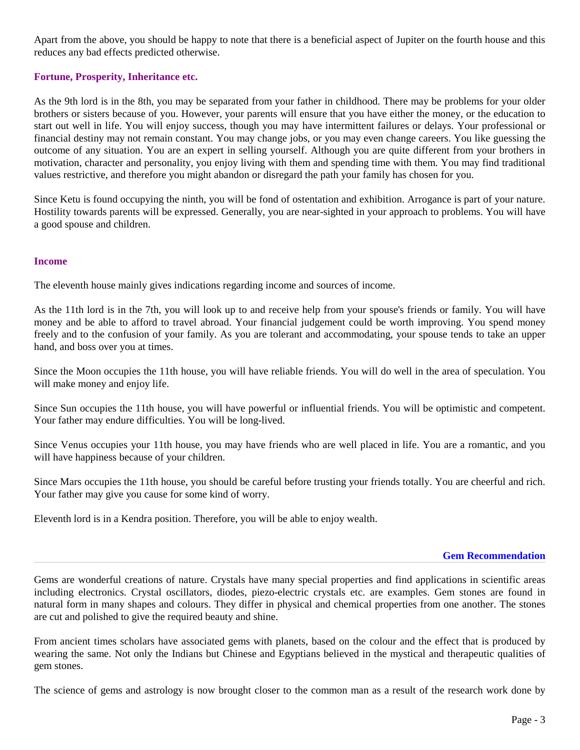Apart from the above, you should be happy to note that there is a beneficial aspect of Jupiter on the fourth house and this reduces any bad effects predicted otherwise.

## **Fortune, Prosperity, Inheritance etc.**

As the 9th lord is in the 8th, you may be separated from your father in childhood. There may be problems for your older brothers or sisters because of you. However, your parents will ensure that you have either the money, or the education to start out well in life. You will enjoy success, though you may have intermittent failures or delays. Your professional or financial destiny may not remain constant. You may change jobs, or you may even change careers. You like guessing the outcome of any situation. You are an expert in selling yourself. Although you are quite different from your brothers in motivation, character and personality, you enjoy living with them and spending time with them. You may find traditional values restrictive, and therefore you might abandon or disregard the path your family has chosen for you.

Since Ketu is found occupying the ninth, you will be fond of ostentation and exhibition. Arrogance is part of your nature. Hostility towards parents will be expressed. Generally, you are near-sighted in your approach to problems. You will have a good spouse and children.

## **Income**

The eleventh house mainly gives indications regarding income and sources of income.

As the 11th lord is in the 7th, you will look up to and receive help from your spouse's friends or family. You will have money and be able to afford to travel abroad. Your financial judgement could be worth improving. You spend money freely and to the confusion of your family. As you are tolerant and accommodating, your spouse tends to take an upper hand, and boss over you at times.

Since the Moon occupies the 11th house, you will have reliable friends. You will do well in the area of speculation. You will make money and enjoy life.

Since Sun occupies the 11th house, you will have powerful or influential friends. You will be optimistic and competent. Your father may endure difficulties. You will be long-lived.

Since Venus occupies your 11th house, you may have friends who are well placed in life. You are a romantic, and you will have happiness because of your children.

Since Mars occupies the 11th house, you should be careful before trusting your friends totally. You are cheerful and rich. Your father may give you cause for some kind of worry.

Eleventh lord is in a Kendra position. Therefore, you will be able to enjoy wealth.

## **Gem Recommendation**

Gems are wonderful creations of nature. Crystals have many special properties and find applications in scientific areas including electronics. Crystal oscillators, diodes, piezo-electric crystals etc. are examples. Gem stones are found in natural form in many shapes and colours. They differ in physical and chemical properties from one another. The stones are cut and polished to give the required beauty and shine.

From ancient times scholars have associated gems with planets, based on the colour and the effect that is produced by wearing the same. Not only the Indians but Chinese and Egyptians believed in the mystical and therapeutic qualities of gem stones.

The science of gems and astrology is now brought closer to the common man as a result of the research work done by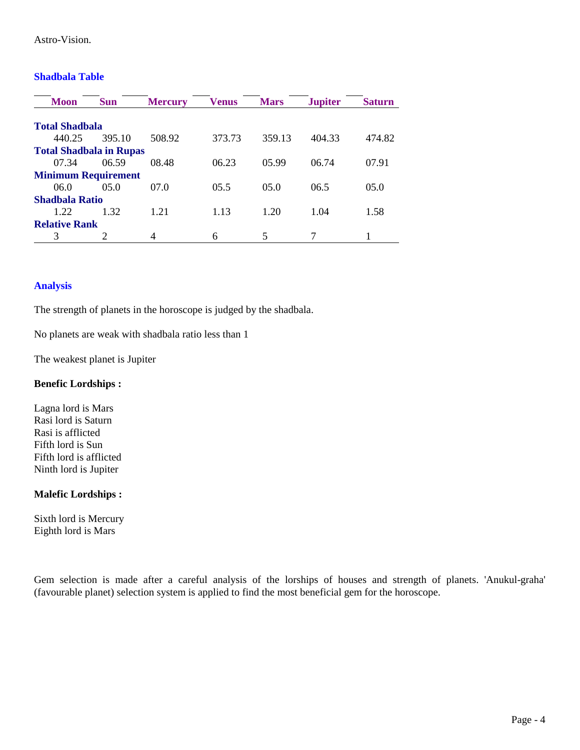# **Shadbala Table**

| <b>Moon</b>                    | <b>Sun</b>     | <b>Mercury</b> | <b>Venus</b> | <b>Mars</b> | <b>Jupiter</b> | <b>Saturn</b> |
|--------------------------------|----------------|----------------|--------------|-------------|----------------|---------------|
|                                |                |                |              |             |                |               |
| <b>Total Shadbala</b>          |                |                |              |             |                |               |
| 440.25                         | 395.10         | 508.92         | 373.73       | 359.13      | 404.33         | 474.82        |
| <b>Total Shadbala in Rupas</b> |                |                |              |             |                |               |
| 07.34                          | 06.59          | 08.48          | 06.23        | 05.99       | 06.74          | 07.91         |
| <b>Minimum Requirement</b>     |                |                |              |             |                |               |
| 06.0                           | 050            | 07.0           | 05.5         | 05.0        | 06.5           | 05.0          |
| <b>Shadbala Ratio</b>          |                |                |              |             |                |               |
| 1.22                           | 1.32           | 1.21           | 1.13         | 1.20        | 1.04           | 1.58          |
| <b>Relative Rank</b>           |                |                |              |             |                |               |
| 3                              | $\overline{c}$ | 4              | 6            |             |                |               |

## **Analysis**

The strength of planets in the horoscope is judged by the shadbala.

No planets are weak with shadbala ratio less than 1

The weakest planet is Jupiter

## **Benefic Lordships :**

Lagna lord is Mars Rasi lord is Saturn Rasi is afflicted Fifth lord is Sun Fifth lord is afflicted Ninth lord is Jupiter

## **Malefic Lordships :**

Sixth lord is Mercury Eighth lord is Mars

Gem selection is made after a careful analysis of the lorships of houses and strength of planets. 'Anukul-graha' (favourable planet) selection system is applied to find the most beneficial gem for the horoscope.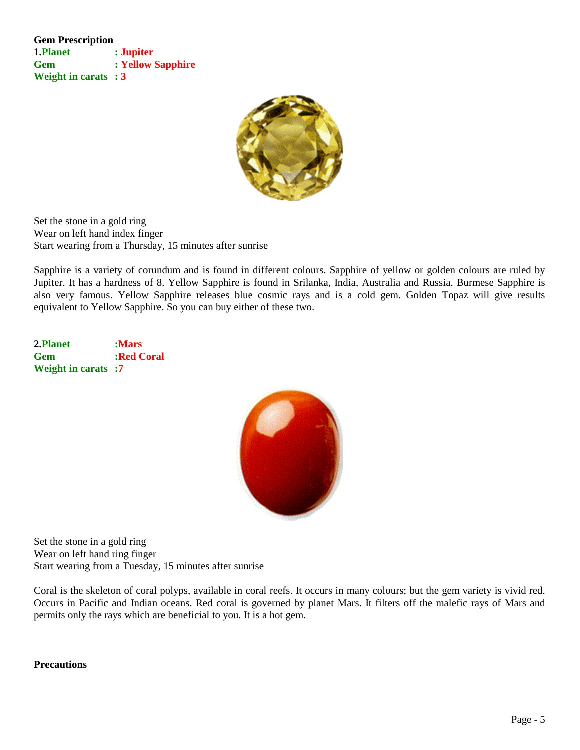**Gem Prescription 1.Planet : Jupiter Gem : Yellow Sapphire Weight in carats : 3**



Set the stone in a gold ring Wear on left hand index finger Start wearing from a Thursday, 15 minutes after sunrise

Sapphire is a variety of corundum and is found in different colours. Sapphire of yellow or golden colours are ruled by Jupiter. It has a hardness of 8. Yellow Sapphire is found in Srilanka, India, Australia and Russia. Burmese Sapphire is also very famous. Yellow Sapphire releases blue cosmic rays and is a cold gem. Golden Topaz will give results equivalent to Yellow Sapphire. So you can buy either of these two.

**2.Planet :Mars Gem :Red Coral Weight in carats :7**



Set the stone in a gold ring Wear on left hand ring finger Start wearing from a Tuesday, 15 minutes after sunrise

Coral is the skeleton of coral polyps, available in coral reefs. It occurs in many colours; but the gem variety is vivid red. Occurs in Pacific and Indian oceans. Red coral is governed by planet Mars. It filters off the malefic rays of Mars and permits only the rays which are beneficial to you. It is a hot gem.

## **Precautions**